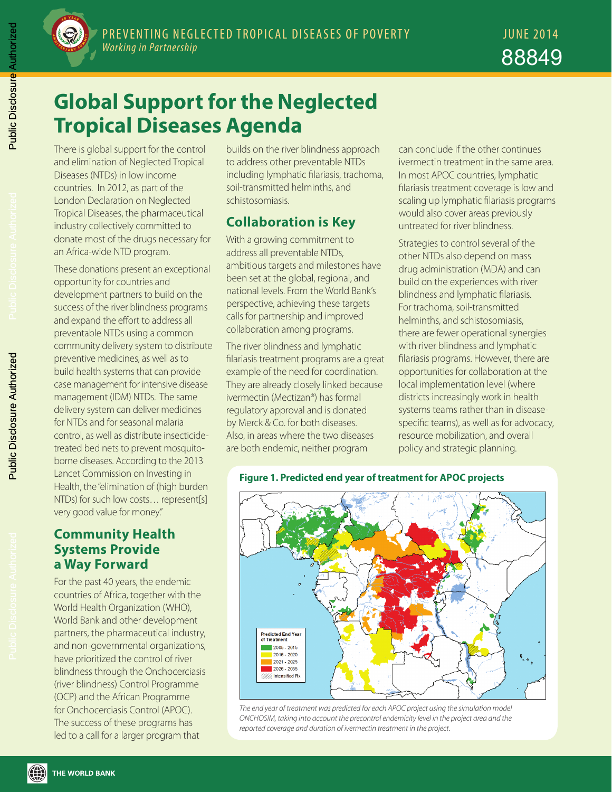

# **Global Support for the Neglected Tropical Diseases Agenda**

There is global support for the control and elimination of Neglected Tropical Diseases (NTDs) in low income countries. In 2012, as part of the London Declaration on Neglected Tropical Diseases, the pharmaceutical industry collectively committed to donate most of the drugs necessary for an Africa-wide NTD program.

These donations present an exceptional opportunity for countries and development partners to build on the success of the river blindness programs and expand the effort to address all preventable NTDs using a common community delivery system to distribute preventive medicines, as well as to build health systems that can provide case management for intensive disease management (IDM) NTDs. The same delivery system can deliver medicines for NTDs and for seasonal malaria control, as well as distribute insecticidetreated bed nets to prevent mosquitoborne diseases. According to the 2013 Lancet Commission on Investing in Health, the "elimination of (high burden NTDs) for such low costs… represent[s] very good value for money."

#### **Community Health Systems Provide a Way Forward**

For the past 40 years, the endemic countries of Africa, together with the World Health Organization (WHO), World Bank and other development partners, the pharmaceutical industry, and non-governmental organizations, have prioritized the control of river blindness through the Onchocerciasis (river blindness) Control Programme (OCP) and the African Programme for Onchocerciasis Control (APOC). The success of these programs has led to a call for a larger program that

builds on the river blindness approach to address other preventable NTDs including lymphatic filariasis, trachoma, soil-transmitted helminths, and schistosomiasis.

## **Collaboration is Key**

With a growing commitment to address all preventable NTDs, ambitious targets and milestones have been set at the global, regional, and national levels. From the World Bank's perspective, achieving these targets calls for partnership and improved collaboration among programs.

The river blindness and lymphatic filariasis treatment programs are a great example of the need for coordination. They are already closely linked because ivermectin (Mectizan®) has formal regulatory approval and is donated by Merck & Co. for both diseases. Also, in areas where the two diseases are both endemic, neither program

can conclude if the other continues ivermectin treatment in the same area. In most APOC countries, lymphatic filariasis treatment coverage is low and scaling up lymphatic filariasis programs would also cover areas previously untreated for river blindness.

Strategies to control several of the other NTDs also depend on mass drug administration (MDA) and can build on the experiences with river blindness and lymphatic filariasis. For trachoma, soil-transmitted helminths, and schistosomiasis, there are fewer operational synergies with river blindness and lymphatic filariasis programs. However, there are opportunities for collaboration at the local implementation level (where districts increasingly work in health systems teams rather than in diseasespecific teams), as well as for advocacy, resource mobilization, and overall policy and strategic planning.



**Figure 1. Predicted end year of treatment for APOC projects**

THE WORLD BANK

*The end year of treatment was predicted for each APOC project using the simulation model ONCHOSIM, taking into account the precontrol endemicity level in the project area and the reported coverage and duration of ivermectin treatment in the project.*